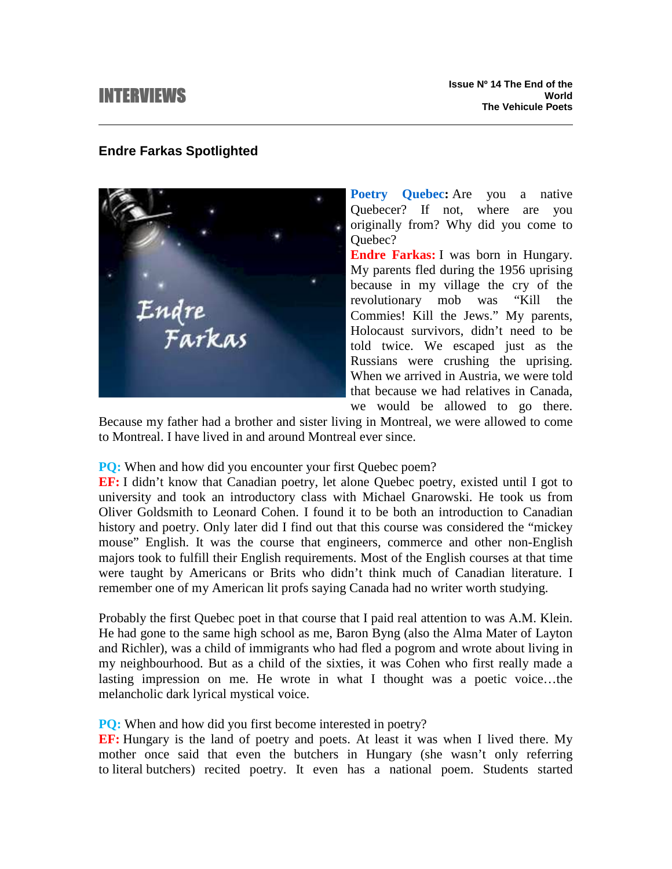# INTERVIEWS

# **Endre Farkas Spotlighted**

Endre<br>Farkas

**Poetry Quebec:** Are you a native Quebecer? If not, where are you originally from? Why did you come to Ouebec?

**Endre Farkas:** I was born in Hungary. My parents fled during the 1956 uprising because in my village the cry of the revolutionary mob was "Kill the Commies! Kill the Jews." My parents, Holocaust survivors, didn't need to be told twice. We escaped just as the Russians were crushing the uprising. When we arrived in Austria, we were told that because we had relatives in Canada, we would be allowed to go there.

Because my father had a brother and sister living in Montreal, we were allowed to come to Montreal. I have lived in and around Montreal ever since.

#### **PQ:** When and how did you encounter your first Quebec poem?

**EF:** I didn't know that Canadian poetry, let alone Quebec poetry, existed until I got to university and took an introductory class with Michael Gnarowski. He took us from Oliver Goldsmith to Leonard Cohen. I found it to be both an introduction to Canadian history and poetry. Only later did I find out that this course was considered the "mickey mouse" English. It was the course that engineers, commerce and other non-English majors took to fulfill their English requirements. Most of the English courses at that time were taught by Americans or Brits who didn't think much of Canadian literature. I remember one of my American lit profs saying Canada had no writer worth studying.

Probably the first Quebec poet in that course that I paid real attention to was A.M. Klein. He had gone to the same high school as me, Baron Byng (also the Alma Mater of Layton and Richler), was a child of immigrants who had fled a pogrom and wrote about living in my neighbourhood. But as a child of the sixties, it was Cohen who first really made a lasting impression on me. He wrote in what I thought was a poetic voice…the melancholic dark lyrical mystical voice.

#### **PQ:** When and how did you first become interested in poetry?

**EF:** Hungary is the land of poetry and poets. At least it was when I lived there. My mother once said that even the butchers in Hungary (she wasn't only referring to literal butchers) recited poetry. It even has a national poem. Students started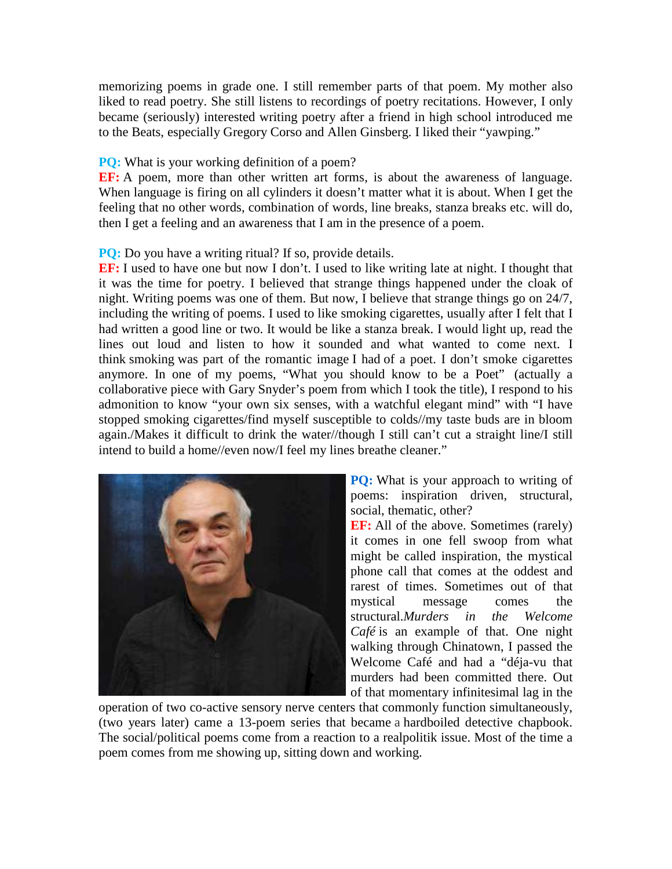memorizing poems in grade one. I still remember parts of that poem. My mother also liked to read poetry. She still listens to recordings of poetry recitations. However, I only became (seriously) interested writing poetry after a friend in high school introduced me to the Beats, especially Gregory Corso and Allen Ginsberg. I liked their "yawping."

## **PQ:** What is your working definition of a poem?

**EF:** A poem, more than other written art forms, is about the awareness of language. When language is firing on all cylinders it doesn't matter what it is about. When I get the feeling that no other words, combination of words, line breaks, stanza breaks etc. will do, then I get a feeling and an awareness that I am in the presence of a poem.

## **PQ:** Do you have a writing ritual? If so, provide details.

**EF:** I used to have one but now I don't. I used to like writing late at night. I thought that it was the time for poetry. I believed that strange things happened under the cloak of night. Writing poems was one of them. But now, I believe that strange things go on 24/7, including the writing of poems. I used to like smoking cigarettes, usually after I felt that I had written a good line or two. It would be like a stanza break. I would light up, read the lines out loud and listen to how it sounded and what wanted to come next. I think smoking was part of the romantic image I had of a poet. I don't smoke cigarettes anymore. In one of my poems, "What you should know to be a Poet" (actually a collaborative piece with Gary Snyder's poem from which I took the title), I respond to his admonition to know "your own six senses, with a watchful elegant mind" with "I have stopped smoking cigarettes/find myself susceptible to colds//my taste buds are in bloom again./Makes it difficult to drink the water//though I still can't cut a straight line/I still intend to build a home//even now/I feel my lines breathe cleaner."



**PQ:** What is your approach to writing of poems: inspiration driven, structural, social, thematic, other?

**EF:** All of the above. Sometimes (rarely) it comes in one fell swoop from what might be called inspiration, the mystical phone call that comes at the oddest and rarest of times. Sometimes out of that mystical message comes the structural.*Murders in the Welcome Café* is an example of that. One night walking through Chinatown, I passed the Welcome Café and had a "déja-vu that murders had been committed there. Out of that momentary infinitesimal lag in the

operation of two co-active sensory nerve centers that commonly function simultaneously, (two years later) came a 13-poem series that became a hardboiled detective chapbook. The social/political poems come from a reaction to a realpolitik issue. Most of the time a poem comes from me showing up, sitting down and working.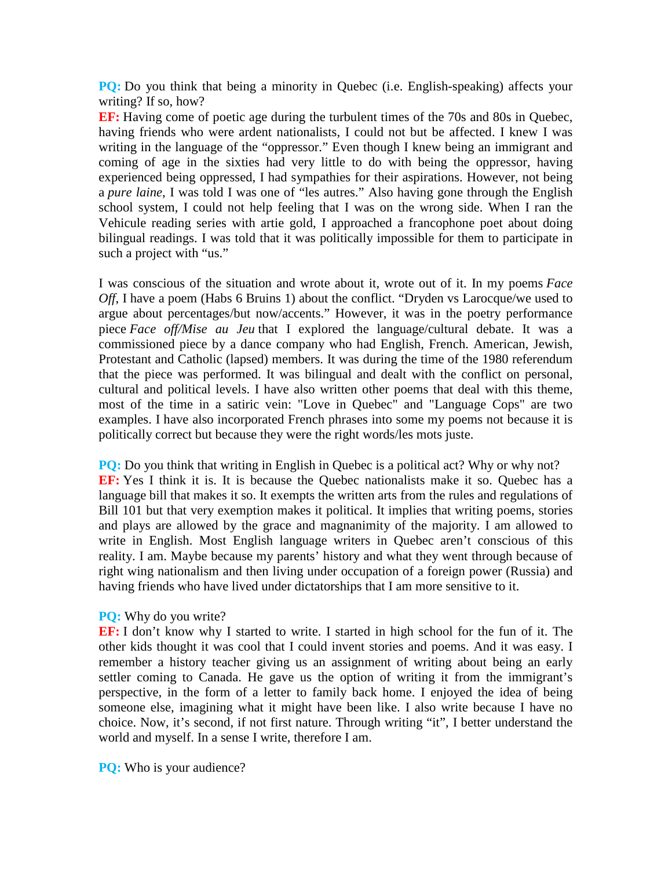**PO:** Do you think that being a minority in Quebec (i.e. English-speaking) affects your writing? If so, how?

**EF:** Having come of poetic age during the turbulent times of the 70s and 80s in Quebec, having friends who were ardent nationalists, I could not but be affected. I knew I was writing in the language of the "oppressor." Even though I knew being an immigrant and coming of age in the sixties had very little to do with being the oppressor, having experienced being oppressed, I had sympathies for their aspirations. However, not being a *pure laine*, I was told I was one of "les autres." Also having gone through the English school system, I could not help feeling that I was on the wrong side. When I ran the Vehicule reading series with artie gold, I approached a francophone poet about doing bilingual readings. I was told that it was politically impossible for them to participate in such a project with "us."

I was conscious of the situation and wrote about it, wrote out of it. In my poems *Face Off*, I have a poem (Habs 6 Bruins 1) about the conflict. "Dryden vs Larocque/we used to argue about percentages/but now/accents." However, it was in the poetry performance piece *Face off/Mise au Jeu* that I explored the language/cultural debate. It was a commissioned piece by a dance company who had English, French. American, Jewish, Protestant and Catholic (lapsed) members. It was during the time of the 1980 referendum that the piece was performed. It was bilingual and dealt with the conflict on personal, cultural and political levels. I have also written other poems that deal with this theme, most of the time in a satiric vein: "Love in Quebec" and "Language Cops" are two examples. I have also incorporated French phrases into some my poems not because it is politically correct but because they were the right words/les mots juste.

**PQ:** Do you think that writing in English in Quebec is a political act? Why or why not? **EF:** Yes I think it is. It is because the Quebec nationalists make it so. Quebec has a language bill that makes it so. It exempts the written arts from the rules and regulations of Bill 101 but that very exemption makes it political. It implies that writing poems, stories and plays are allowed by the grace and magnanimity of the majority. I am allowed to write in English. Most English language writers in Quebec aren't conscious of this reality. I am. Maybe because my parents' history and what they went through because of right wing nationalism and then living under occupation of a foreign power (Russia) and having friends who have lived under dictatorships that I am more sensitive to it.

#### **PQ:** Why do you write?

**EF:** I don't know why I started to write. I started in high school for the fun of it. The other kids thought it was cool that I could invent stories and poems. And it was easy. I remember a history teacher giving us an assignment of writing about being an early settler coming to Canada. He gave us the option of writing it from the immigrant's perspective, in the form of a letter to family back home. I enjoyed the idea of being someone else, imagining what it might have been like. I also write because I have no choice. Now, it's second, if not first nature. Through writing "it", I better understand the world and myself. In a sense I write, therefore I am.

**PO:** Who is your audience?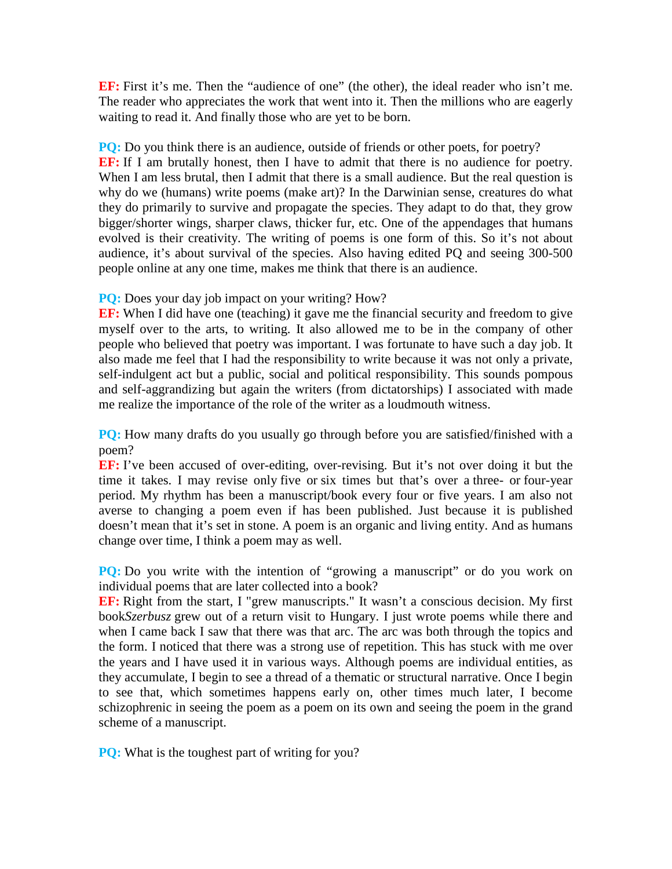**EF:** First it's me. Then the "audience of one" (the other), the ideal reader who isn't me. The reader who appreciates the work that went into it. Then the millions who are eagerly waiting to read it. And finally those who are yet to be born.

**PQ:** Do you think there is an audience, outside of friends or other poets, for poetry? **EF:** If I am brutally honest, then I have to admit that there is no audience for poetry. When I am less brutal, then I admit that there is a small audience. But the real question is why do we (humans) write poems (make art)? In the Darwinian sense, creatures do what they do primarily to survive and propagate the species. They adapt to do that, they grow bigger/shorter wings, sharper claws, thicker fur, etc. One of the appendages that humans evolved is their creativity. The writing of poems is one form of this. So it's not about audience, it's about survival of the species. Also having edited PQ and seeing 300-500 people online at any one time, makes me think that there is an audience.

#### **PQ:** Does your day job impact on your writing? How?

**EF:** When I did have one (teaching) it gave me the financial security and freedom to give myself over to the arts, to writing. It also allowed me to be in the company of other people who believed that poetry was important. I was fortunate to have such a day job. It also made me feel that I had the responsibility to write because it was not only a private, self-indulgent act but a public, social and political responsibility. This sounds pompous and self-aggrandizing but again the writers (from dictatorships) I associated with made me realize the importance of the role of the writer as a loudmouth witness.

**PQ:** How many drafts do you usually go through before you are satisfied/finished with a poem?

**EF:** I've been accused of over-editing, over-revising. But it's not over doing it but the time it takes. I may revise only five or six times but that's over a three- or four-year period. My rhythm has been a manuscript/book every four or five years. I am also not averse to changing a poem even if has been published. Just because it is published doesn't mean that it's set in stone. A poem is an organic and living entity. And as humans change over time, I think a poem may as well.

**PQ:** Do you write with the intention of "growing a manuscript" or do you work on individual poems that are later collected into a book?

**EF:** Right from the start, I "grew manuscripts." It wasn't a conscious decision. My first book*Szerbusz* grew out of a return visit to Hungary. I just wrote poems while there and when I came back I saw that there was that arc. The arc was both through the topics and the form. I noticed that there was a strong use of repetition. This has stuck with me over the years and I have used it in various ways. Although poems are individual entities, as they accumulate, I begin to see a thread of a thematic or structural narrative. Once I begin to see that, which sometimes happens early on, other times much later, I become schizophrenic in seeing the poem as a poem on its own and seeing the poem in the grand scheme of a manuscript.

**PQ:** What is the toughest part of writing for you?